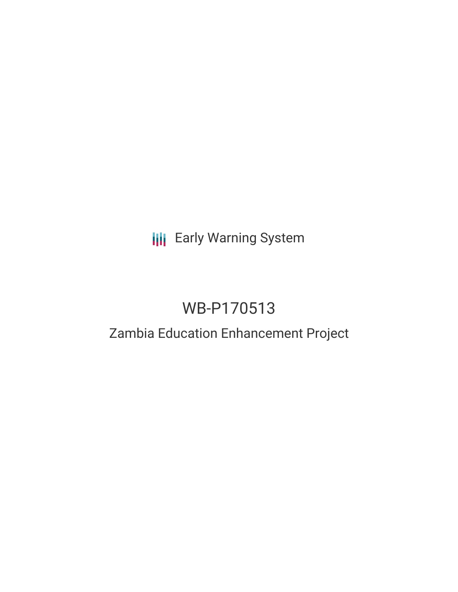# **III** Early Warning System

# WB-P170513

# Zambia Education Enhancement Project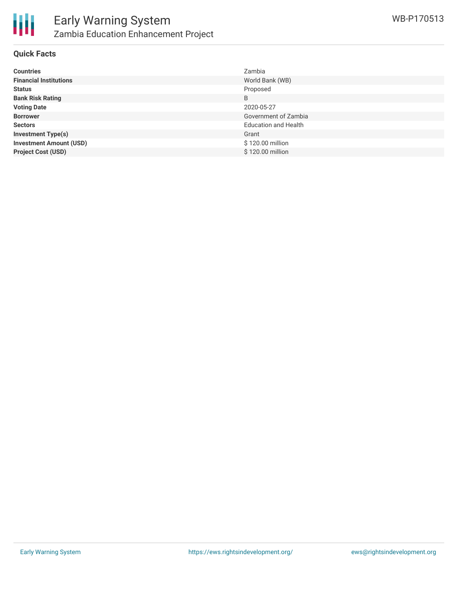

## **Quick Facts**

| <b>Countries</b>               | Zambia                      |
|--------------------------------|-----------------------------|
| <b>Financial Institutions</b>  | World Bank (WB)             |
| <b>Status</b>                  | Proposed                    |
| <b>Bank Risk Rating</b>        | B                           |
| <b>Voting Date</b>             | 2020-05-27                  |
| <b>Borrower</b>                | Government of Zambia        |
| <b>Sectors</b>                 | <b>Education and Health</b> |
| <b>Investment Type(s)</b>      | Grant                       |
| <b>Investment Amount (USD)</b> | \$120.00 million            |
| <b>Project Cost (USD)</b>      | \$120.00 million            |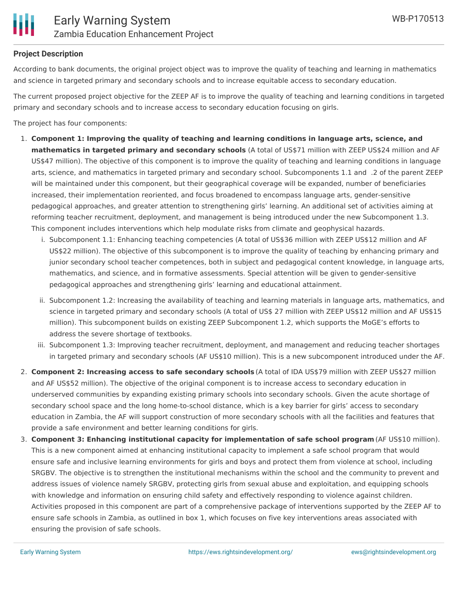

### **Project Description**

According to bank documents, the original project object was to improve the quality of teaching and learning in mathematics and science in targeted primary and secondary schools and to increase equitable access to secondary education.

The current proposed project objective for the ZEEP AF is to improve the quality of teaching and learning conditions in targeted primary and secondary schools and to increase access to secondary education focusing on girls.

The project has four components:

- 1. **Component 1: Improving the quality of teaching and learning conditions in language arts, science, and mathematics in targeted primary and secondary schools** (A total of US\$71 million with ZEEP US\$24 million and AF US\$47 million). The objective of this component is to improve the quality of teaching and learning conditions in language arts, science, and mathematics in targeted primary and secondary school. Subcomponents 1.1 and .2 of the parent ZEEP will be maintained under this component, but their geographical coverage will be expanded, number of beneficiaries increased, their implementation reoriented, and focus broadened to encompass language arts, gender-sensitive pedagogical approaches, and greater attention to strengthening girls' learning. An additional set of activities aiming at reforming teacher recruitment, deployment, and management is being introduced under the new Subcomponent 1.3. This component includes interventions which help modulate risks from climate and geophysical hazards.
	- i. Subcomponent 1.1: Enhancing teaching competencies (A total of US\$36 million with ZEEP US\$12 million and AF US\$22 million). The objective of this subcomponent is to improve the quality of teaching by enhancing primary and junior secondary school teacher competences, both in subject and pedagogical content knowledge, in language arts, mathematics, and science, and in formative assessments. Special attention will be given to gender-sensitive pedagogical approaches and strengthening girls' learning and educational attainment.
	- ii. Subcomponent 1.2: Increasing the availability of teaching and learning materials in language arts, mathematics, and science in targeted primary and secondary schools (A total of US\$ 27 million with ZEEP US\$12 million and AF US\$15 million). This subcomponent builds on existing ZEEP Subcomponent 1.2, which supports the MoGE's efforts to address the severe shortage of textbooks.
	- iii. Subcomponent 1.3: Improving teacher recruitment, deployment, and management and reducing teacher shortages in targeted primary and secondary schools (AF US\$10 million). This is a new subcomponent introduced under the AF.
- 2. **Component 2: Increasing access to safe secondary schools** (A total of IDA US\$79 million with ZEEP US\$27 million and AF US\$52 million). The objective of the original component is to increase access to secondary education in underserved communities by expanding existing primary schools into secondary schools. Given the acute shortage of secondary school space and the long home-to-school distance, which is a key barrier for girls' access to secondary education in Zambia, the AF will support construction of more secondary schools with all the facilities and features that provide a safe environment and better learning conditions for girls.
- 3. **Component 3: Enhancing institutional capacity for implementation of safe school program** (AF US\$10 million). This is a new component aimed at enhancing institutional capacity to implement a safe school program that would ensure safe and inclusive learning environments for girls and boys and protect them from violence at school, including SRGBV. The objective is to strengthen the institutional mechanisms within the school and the community to prevent and address issues of violence namely SRGBV, protecting girls from sexual abuse and exploitation, and equipping schools with knowledge and information on ensuring child safety and effectively responding to violence against children. Activities proposed in this component are part of a comprehensive package of interventions supported by the ZEEP AF to ensure safe schools in Zambia, as outlined in box 1, which focuses on five key interventions areas associated with ensuring the provision of safe schools.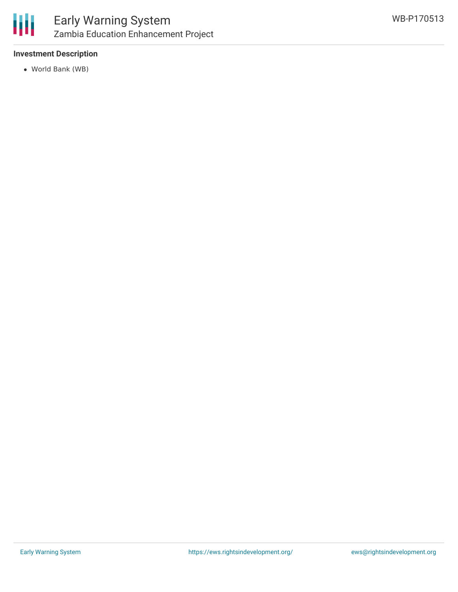

### **Investment Description**

World Bank (WB)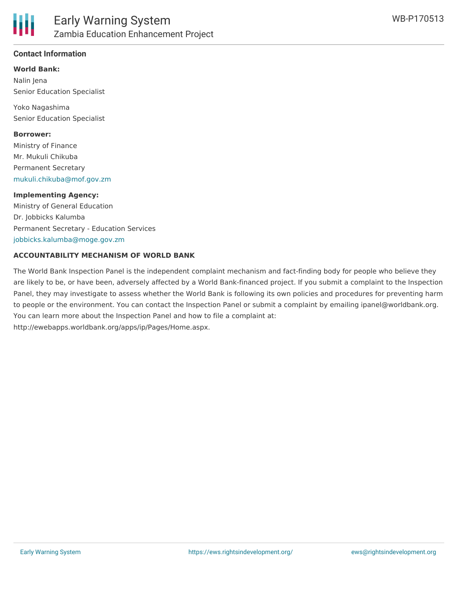

### **Contact Information**

#### **World Bank:**

Nalin Jena Senior Education Specialist

Yoko Nagashima Senior Education Specialist

#### **Borrower:**

Ministry of Finance Mr. Mukuli Chikuba Permanent Secretary [mukuli.chikuba@mof.gov.zm](mailto:mukuli.chikuba@mof.gov.zm)

#### **Implementing Agency:**

Ministry of General Education Dr. Jobbicks Kalumba Permanent Secretary - Education Services [jobbicks.kalumba@moge.gov.zm](mailto:jobbicks.kalumba@moge.gov.zm)

#### **ACCOUNTABILITY MECHANISM OF WORLD BANK**

The World Bank Inspection Panel is the independent complaint mechanism and fact-finding body for people who believe they are likely to be, or have been, adversely affected by a World Bank-financed project. If you submit a complaint to the Inspection Panel, they may investigate to assess whether the World Bank is following its own policies and procedures for preventing harm to people or the environment. You can contact the Inspection Panel or submit a complaint by emailing ipanel@worldbank.org. You can learn more about the Inspection Panel and how to file a complaint at: http://ewebapps.worldbank.org/apps/ip/Pages/Home.aspx.